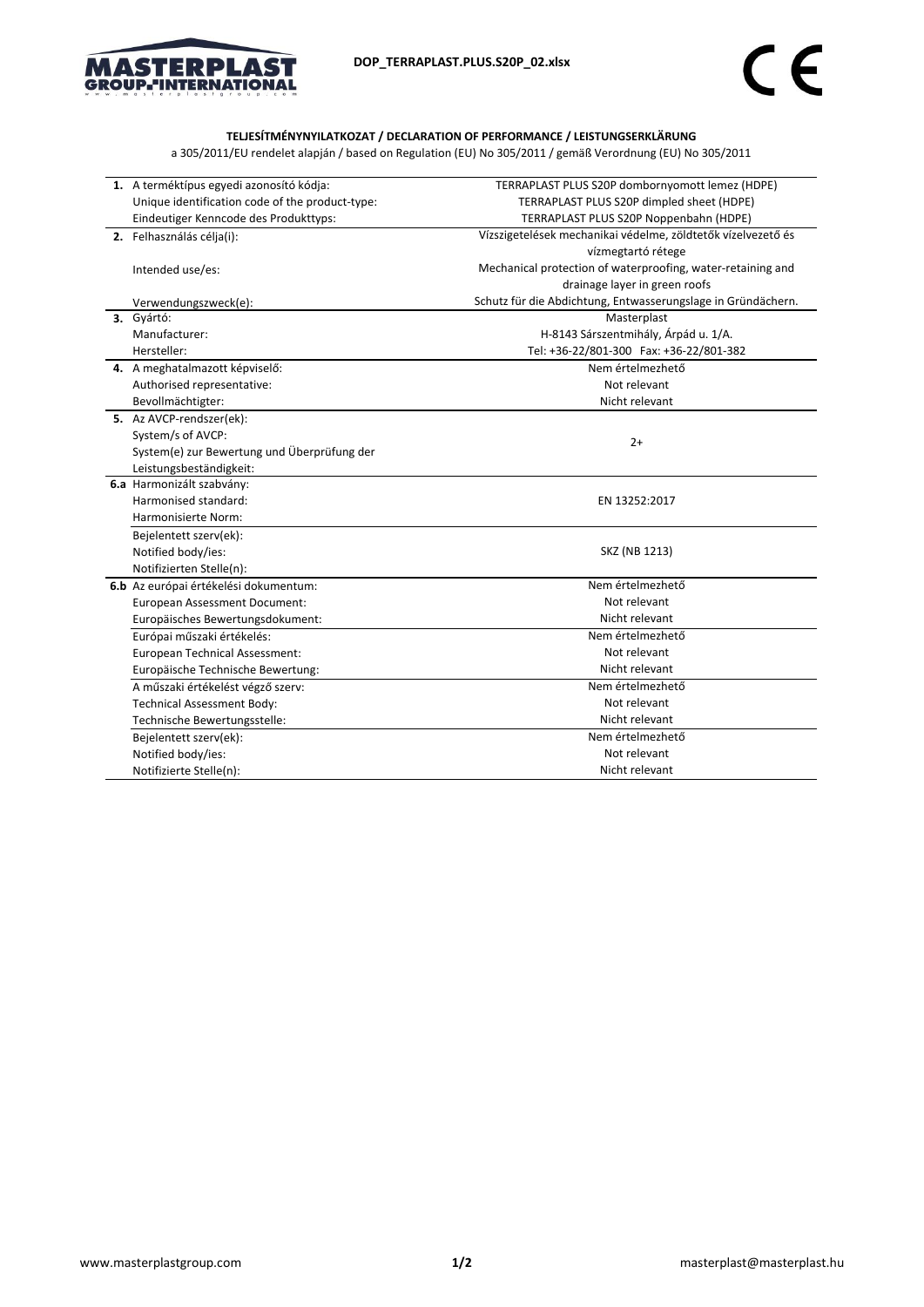

## **TELJESÍTMÉNYNYILATKOZAT / DECLARATION OF PERFORMANCE / LEISTUNGSERKLÄRUNG**

a 305/2011/EU rendelet alapján / based on Regulation (EU) No 305/2011 / gemäß Verordnung (EU) No 305/2011

| 1. A terméktípus egyedi azonosító kódja:           | TERRAPLAST PLUS S20P dombornyomott lemez (HDPE)              |  |
|----------------------------------------------------|--------------------------------------------------------------|--|
| Unique identification code of the product-type:    | TERRAPLAST PLUS S20P dimpled sheet (HDPE)                    |  |
| Eindeutiger Kenncode des Produkttyps:              | TERRAPLAST PLUS S20P Noppenbahn (HDPE)                       |  |
| 2. Felhasználás célja(i):                          | Vízszigetelések mechanikai védelme, zöldtetők vízelvezető és |  |
|                                                    | vízmegtartó rétege                                           |  |
| Intended use/es:                                   | Mechanical protection of waterproofing, water-retaining and  |  |
|                                                    | drainage layer in green roofs                                |  |
| Verwendungszweck(e):                               | Schutz für die Abdichtung, Entwasserungslage in Gründächern. |  |
| 3. Gyártó:                                         | Masterplast                                                  |  |
| Manufacturer:                                      | H-8143 Sárszentmihály, Árpád u. 1/A.                         |  |
| Hersteller:                                        | Tel: +36-22/801-300 Fax: +36-22/801-382                      |  |
| 4. A meghatalmazott képviselő:                     | Nem értelmezhető                                             |  |
| Authorised representative:                         | Not relevant                                                 |  |
| Bevollmächtigter:                                  | Nicht relevant                                               |  |
| 5. Az AVCP-rendszer(ek):                           |                                                              |  |
| System/s of AVCP:                                  |                                                              |  |
| System(e) zur Bewertung und Überprüfung der        | $2+$                                                         |  |
| Leistungsbeständigkeit:                            |                                                              |  |
| 6.a Harmonizált szabvány:                          |                                                              |  |
| Harmonised standard:                               | EN 13252:2017                                                |  |
| Harmonisierte Norm:                                |                                                              |  |
| Bejelentett szerv(ek):                             |                                                              |  |
| Notified body/ies:                                 | SKZ (NB 1213)                                                |  |
| Notifizierten Stelle(n):                           |                                                              |  |
| 6.b Az európai értékelési dokumentum:              | Nem értelmezhető<br>Not relevant                             |  |
| European Assessment Document:                      |                                                              |  |
| Nicht relevant<br>Europäisches Bewertungsdokument: |                                                              |  |
| Európai műszaki értékelés:                         | Nem értelmezhető                                             |  |
| European Technical Assessment:                     | Not relevant                                                 |  |
| Europäische Technische Bewertung:                  | Nicht relevant                                               |  |
| A műszaki értékelést végző szerv:                  | Nem értelmezhető                                             |  |
| <b>Technical Assessment Body:</b>                  | Not relevant                                                 |  |
| Technische Bewertungsstelle:                       | Nicht relevant                                               |  |
| Bejelentett szerv(ek):                             | Nem értelmezhető                                             |  |
| Notified body/ies:                                 | Not relevant                                                 |  |
| Notifizierte Stelle(n):                            | Nicht relevant                                               |  |